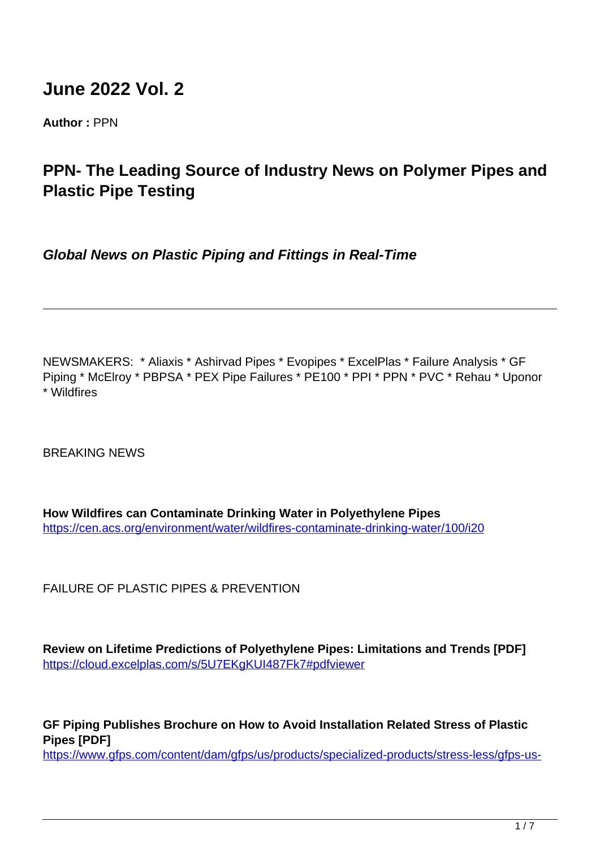# **June 2022 Vol. 2**

**Author :** PPN

## **PPN- The Leading Source of Industry News on Polymer Pipes and Plastic Pipe Testing**

**Global News on Plastic Piping and Fittings in Real-Time**

NEWSMAKERS: \* Aliaxis \* Ashirvad Pipes \* Evopipes \* ExcelPlas \* Failure Analysis \* GF Piping \* McElroy \* PBPSA \* PEX Pipe Failures \* PE100 \* PPI \* PPN \* PVC \* Rehau \* Uponor \* Wildfires

BREAKING NEWS

**How Wildfires can Contaminate Drinking Water in Polyethylene Pipes** <https://cen.acs.org/environment/water/wildfires-contaminate-drinking-water/100/i20>

FAILURE OF PLASTIC PIPES & PREVENTION

**Review on Lifetime Predictions of Polyethylene Pipes: Limitations and Trends [PDF]** https://cloud.excelplas.com/s/5U7EKgKUI487Fk7#pdfviewer

**GF Piping Publishes Brochure on How to Avoid Installation Related Stress of Plastic Pipes [PDF]** https://www.gfps.com/content/dam/gfps/us/products/specialized-products/stress-less/gfps-us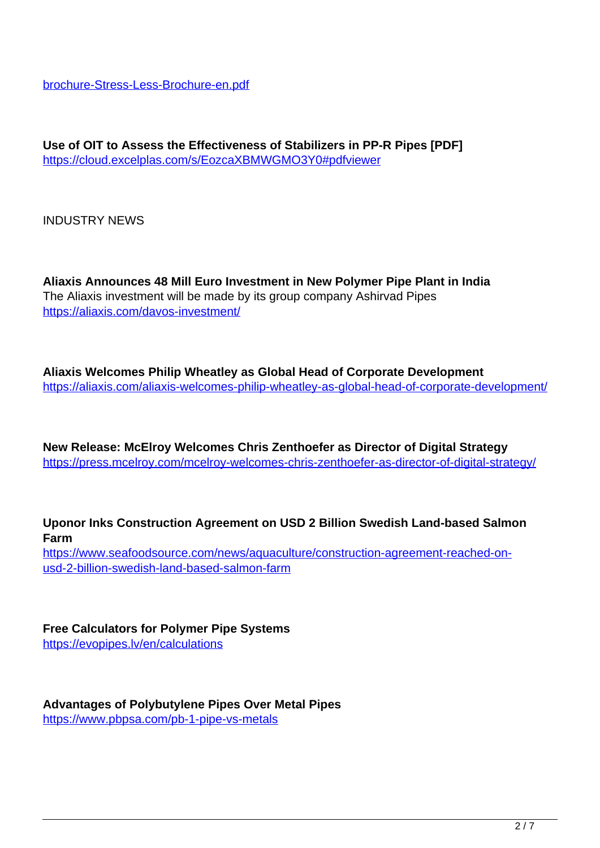brochure-Stress-Less-Brochure-en.pdf

**Use of OIT to Assess the Effectiveness of Stabilizers in PP-R Pipes [PDF]** https://cloud.excelplas.com/s/EozcaXBMWGMO3Y0#pdfviewer

INDUSTRY NEWS

**Aliaxis Announces 48 Mill Euro Investment in New Polymer Pipe Plant in India** The Aliaxis investment will be made by its group company Ashirvad Pipes https://aliaxis.com/davos-investment/

**Aliaxis Welcomes Philip Wheatley as Global Head of Corporate Development** https://aliaxis.com/aliaxis-welcomes-philip-wheatley-as-global-head-of-corporate-development/

**New Release: McElroy Welcomes Chris Zenthoefer as Director of Digital Strategy** https://press.mcelroy.com/mcelroy-welcomes-chris-zenthoefer-as-director-of-digital-strategy/

**Uponor Inks Construction Agreement on USD 2 Billion Swedish Land-based Salmon Farm**

https://www.seafoodsource.com/news/aquaculture/construction-agreement-reached-onusd-2-billion-swedish-land-based-salmon-farm

**Free Calculators for Polymer Pipe Systems** https://evopipes.lv/en/calculations

**Advantages of Polybutylene Pipes Over Metal Pipes** https://www.pbpsa.com/pb-1-pipe-vs-metals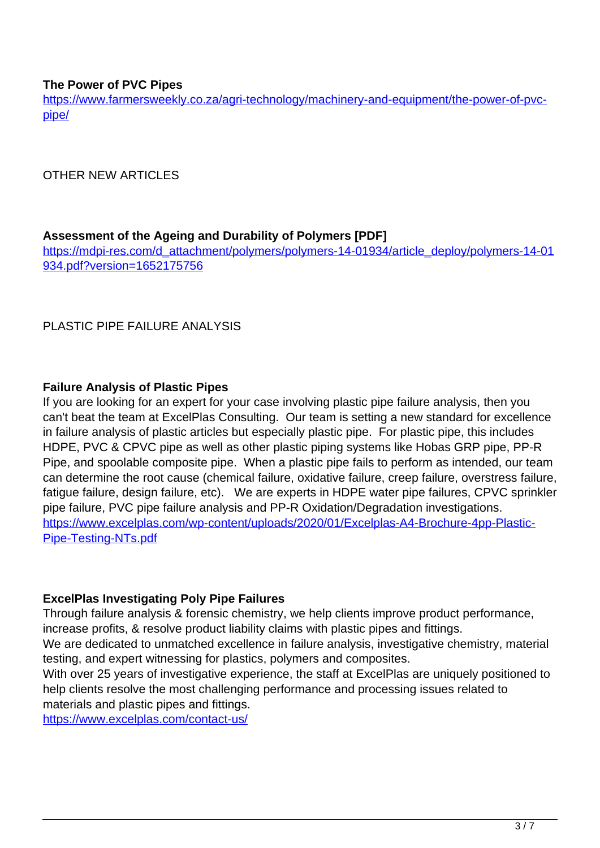#### **The Power of PVC Pipes**

https://www.farmersweekly.co.za/agri-technology/machinery-and-equipment/the-power-of-pvcpipe/

OTHER NEW ARTICLES

#### **Assessment of the Ageing and Durability of Polymers [PDF]**

https://mdpi-res.com/d\_attachment/polymers/polymers-14-01934/article\_deploy/polymers-14-01 934.pdf?version=1652175756

PLASTIC PIPE FAILURE ANALYSIS

#### **Failure Analysis of Plastic Pipes**

If you are looking for an expert for your case involving plastic pipe failure analysis, then you can't beat the team at ExcelPlas Consulting. Our team is setting a new standard for excellence in failure analysis of plastic articles but especially plastic pipe. For plastic pipe, this includes HDPE, PVC & CPVC pipe as well as other plastic piping systems like Hobas GRP pipe, PP-R Pipe, and spoolable composite pipe. When a plastic pipe fails to perform as intended, our team can determine the root cause (chemical failure, oxidative failure, creep failure, overstress failure, fatigue failure, design failure, etc). We are experts in HDPE water pipe failures, CPVC sprinkler pipe failure, PVC pipe failure analysis and PP-R Oxidation/Degradation investigations. https://www.excelplas.com/wp-content/uploads/2020/01/Excelplas-A4-Brochure-4pp-Plastic-Pipe-Testing-NTs.pdf

#### **ExcelPlas Investigating Poly Pipe Failures**

Through failure analysis & forensic chemistry, we help clients improve product performance, increase profits, & resolve product liability claims with plastic pipes and fittings.

We are dedicated to unmatched excellence in failure analysis, investigative chemistry, material testing, and expert witnessing for plastics, polymers and composites.

With over 25 years of investigative experience, the staff at ExcelPlas are uniquely positioned to help clients resolve the most challenging performance and processing issues related to materials and plastic pipes and fittings.

https://www.excelplas.com/contact-us/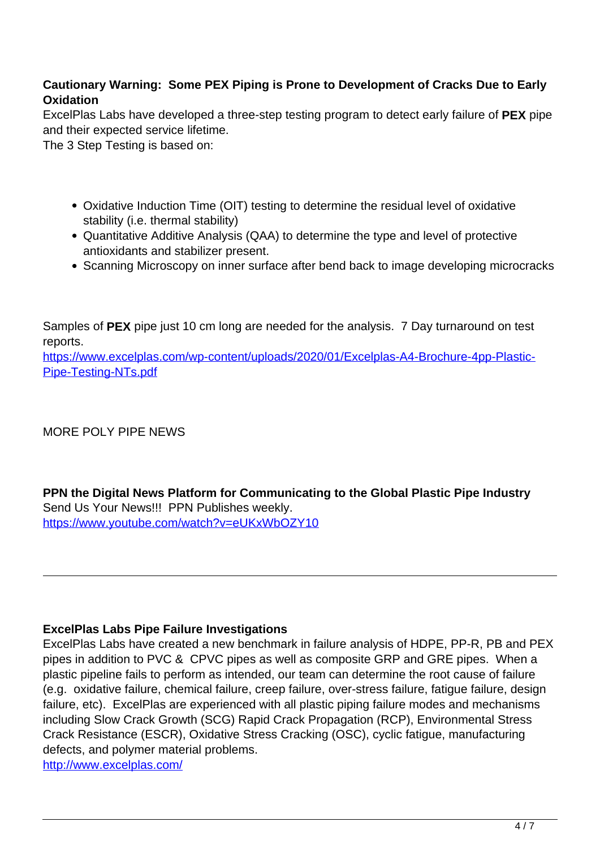## **Cautionary Warning: Some PEX Piping is Prone to Development of Cracks Due to Early Oxidation**

ExcelPlas Labs have developed a three-step testing program to detect early failure of **PEX** pipe and their expected service lifetime.

The 3 Step Testing is based on:

- Oxidative Induction Time (OIT) testing to determine the residual level of oxidative stability (i.e. thermal stability)
- Quantitative Additive Analysis (QAA) to determine the type and level of protective antioxidants and stabilizer present.
- Scanning Microscopy on inner surface after bend back to image developing microcracks

Samples of **PEX** pipe just 10 cm long are needed for the analysis. 7 Day turnaround on test reports.

https://www.excelplas.com/wp-content/uploads/2020/01/Excelplas-A4-Brochure-4pp-Plastic-Pipe-Testing-NTs.pdf

## MORE POLY PIPE NEWS

**PPN the Digital News Platform for Communicating to the Global Plastic Pipe Industry** Send Us Your News!!! PPN Publishes weekly. https://www.youtube.com/watch?v=eUKxWbOZY10

#### **ExcelPlas Labs Pipe Failure Investigations**

ExcelPlas Labs have created a new benchmark in failure analysis of HDPE, PP-R, PB and PEX pipes in addition to PVC & CPVC pipes as well as composite GRP and GRE pipes. When a plastic pipeline fails to perform as intended, our team can determine the root cause of failure (e.g. oxidative failure, chemical failure, creep failure, over-stress failure, fatigue failure, design failure, etc). ExcelPlas are experienced with all plastic piping failure modes and mechanisms including Slow Crack Growth (SCG) Rapid Crack Propagation (RCP), Environmental Stress Crack Resistance (ESCR), Oxidative Stress Cracking (OSC), cyclic fatigue, manufacturing defects, and polymer material problems.

http://www.excelplas.com/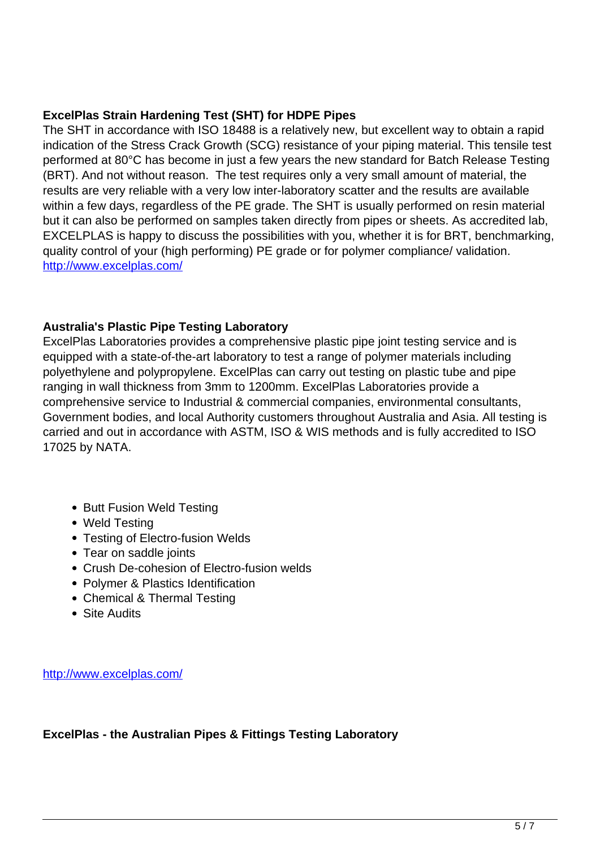#### **ExcelPlas Strain Hardening Test (SHT) for HDPE Pipes**

The SHT in accordance with ISO 18488 is a relatively new, but excellent way to obtain a rapid indication of the Stress Crack Growth (SCG) resistance of your piping material. This tensile test performed at 80°C has become in just a few years the new standard for Batch Release Testing (BRT). And not without reason. The test requires only a very small amount of material, the results are very reliable with a very low inter-laboratory scatter and the results are available within a few days, regardless of the PE grade. The SHT is usually performed on resin material but it can also be performed on samples taken directly from pipes or sheets. As accredited lab, EXCELPLAS is happy to discuss the possibilities with you, whether it is for BRT, benchmarking, quality control of your (high performing) PE grade or for polymer compliance/ validation. http://www.excelplas.com/

#### **Australia's Plastic Pipe Testing Laboratory**

ExcelPlas Laboratories provides a comprehensive plastic pipe joint testing service and is equipped with a state-of-the-art laboratory to test a range of polymer materials including polyethylene and polypropylene. ExcelPlas can carry out testing on plastic tube and pipe ranging in wall thickness from 3mm to 1200mm. ExcelPlas Laboratories provide a comprehensive service to Industrial & commercial companies, environmental consultants, Government bodies, and local Authority customers throughout Australia and Asia. All testing is carried and out in accordance with ASTM, ISO & WIS methods and is fully accredited to ISO 17025 by NATA.

- Butt Fusion Weld Testing
- Weld Testing
- Testing of Electro-fusion Welds
- Tear on saddle joints
- Crush De-cohesion of Electro-fusion welds
- Polymer & Plastics Identification
- Chemical & Thermal Testing
- Site Audits

http://www.excelplas.com/

**ExcelPlas - the Australian Pipes & Fittings Testing Laboratory**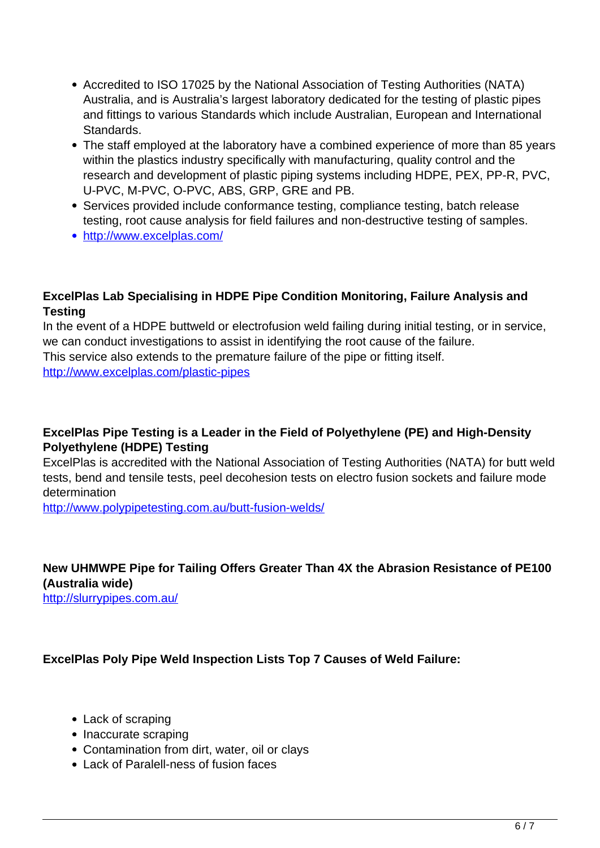- Accredited to ISO 17025 by the National Association of Testing Authorities (NATA) Australia, and is Australia's largest laboratory dedicated for the testing of plastic pipes and fittings to various Standards which include Australian, European and International Standards.
- The staff employed at the laboratory have a combined experience of more than 85 years within the plastics industry specifically with manufacturing, quality control and the research and development of plastic piping systems including HDPE, PEX, PP-R, PVC, U-PVC, M-PVC, O-PVC, ABS, GRP, GRE and PB.
- Services provided include conformance testing, compliance testing, batch release testing, root cause analysis for field failures and non-destructive testing of samples.
- http://www.excelplas.com/

#### **ExcelPlas Lab Specialising in HDPE Pipe Condition Monitoring, Failure Analysis and Testing**

In the event of a HDPE buttweld or electrofusion weld failing during initial testing, or in service, we can conduct investigations to assist in identifying the root cause of the failure. This service also extends to the premature failure of the pipe or fitting itself. http://www.excelplas.com/plastic-pipes

#### **ExcelPlas Pipe Testing is a Leader in the Field of Polyethylene (PE) and High-Density Polyethylene (HDPE) Testing**

ExcelPlas is accredited with the National Association of Testing Authorities (NATA) for butt weld tests, bend and tensile tests, peel decohesion tests on electro fusion sockets and failure mode determination

http://www.polypipetesting.com.au/butt-fusion-welds/

## **New UHMWPE Pipe for Tailing Offers Greater Than 4X the Abrasion Resistance of PE100 (Australia wide)**

http://slurrypipes.com.au/

#### **ExcelPlas Poly Pipe Weld Inspection Lists Top 7 Causes of Weld Failure:**

- Lack of scraping
- Inaccurate scraping
- Contamination from dirt, water, oil or clays
- Lack of Paralell-ness of fusion faces